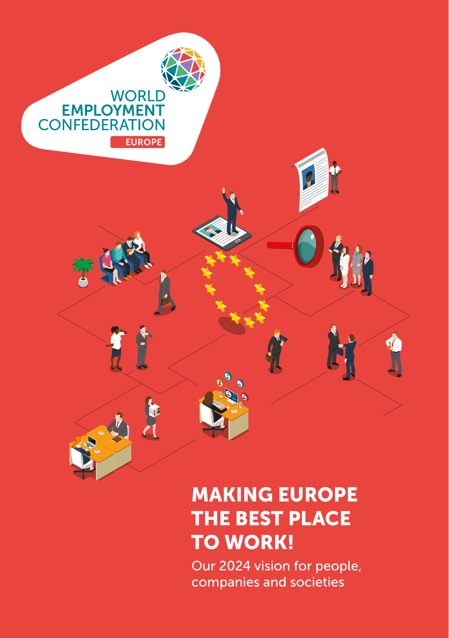

# MAKING EUROPE THE BEST PLACE TO WORK!

Our 2024 vision for people, companies and societies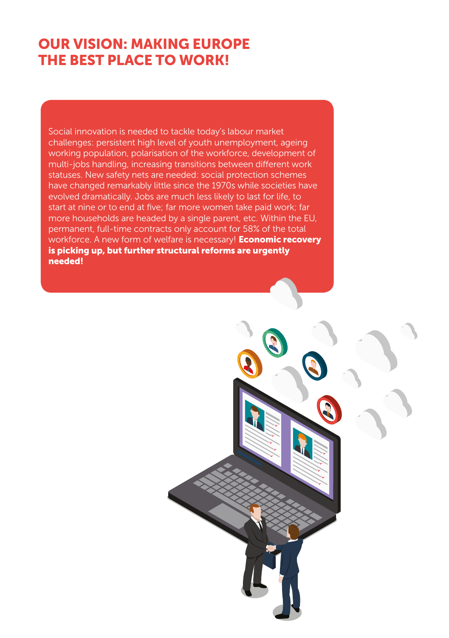### OUR VISION: MAKING EUROPE THE BEST PLACE TO WORK!

Social innovation is needed to tackle today's labour market challenges: persistent high level of youth unemployment, ageing working population, polarisation of the workforce, development of multi-jobs handling, increasing transitions between different work statuses. New safety nets are needed: social protection schemes have changed remarkably little since the 1970s while societies have evolved dramatically. Jobs are much less likely to last for life, to start at nine or to end at five; far more women take paid work; far more households are headed by a single parent, etc. Within the EU, permanent, full-time contracts only account for 58% of the total workforce. A new form of welfare is necessary! **Economic recovery** is picking up, but further structural reforms are urgently needed!

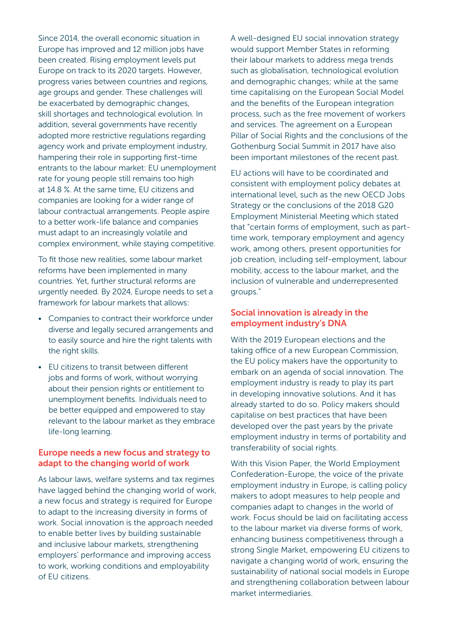Since 2014, the overall economic situation in Europe has improved and 12 million jobs have been created. Rising employment levels put Europe on track to its 2020 targets. However, progress varies between countries and regions, age groups and gender. These challenges will be exacerbated by demographic changes, skill shortages and technological evolution. In addition, several governments have recently adopted more restrictive regulations regarding agency work and private employment industry, hampering their role in supporting first-time entrants to the labour market: EU unemployment rate for young people still remains too high at 14.8 %. At the same time, EU citizens and companies are looking for a wider range of labour contractual arrangements. People aspire to a better work-life balance and companies must adapt to an increasingly volatile and complex environment, while staying competitive.

To fit those new realities, some labour market reforms have been implemented in many countries. Yet, further structural reforms are urgently needed. By 2024, Europe needs to set a framework for labour markets that allows:

- Companies to contract their workforce under diverse and legally secured arrangements and to easily source and hire the right talents with the right skills.
- EU citizens to transit between different jobs and forms of work, without worrying about their pension rights or entitlement to unemployment benefits. Individuals need to be better equipped and empowered to stay relevant to the labour market as they embrace life-long learning.

#### Europe needs a new focus and strategy to adapt to the changing world of work

As labour laws, welfare systems and tax regimes have lagged behind the changing world of work, a new focus and strategy is required for Europe to adapt to the increasing diversity in forms of work. Social innovation is the approach needed to enable better lives by building sustainable and inclusive labour markets, strengthening employers' performance and improving access to work, working conditions and employability of EU citizens.

A well-designed EU social innovation strategy would support Member States in reforming their labour markets to address mega trends such as globalisation, technological evolution and demographic changes; while at the same time capitalising on the European Social Model and the benefits of the European integration process, such as the free movement of workers and services. The agreement on a European Pillar of Social Rights and the conclusions of the Gothenburg Social Summit in 2017 have also been important milestones of the recent past.

EU actions will have to be coordinated and consistent with employment policy debates at international level, such as the new OECD Jobs Strategy or the conclusions of the 2018 G20 Employment Ministerial Meeting which stated that "certain forms of employment, such as parttime work, temporary employment and agency work, among others, present opportunities for job creation, including self-employment, labour mobility, access to the labour market, and the inclusion of vulnerable and underrepresented groups."

#### Social innovation is already in the employment industry's DNA

With the 2019 European elections and the taking office of a new European Commission, the EU policy makers have the opportunity to embark on an agenda of social innovation. The employment industry is ready to play its part in developing innovative solutions. And it has already started to do so. Policy makers should capitalise on best practices that have been developed over the past years by the private employment industry in terms of portability and transferability of social rights.

With this Vision Paper, the World Employment Confederation-Europe, the voice of the private employment industry in Europe, is calling policy makers to adopt measures to help people and companies adapt to changes in the world of work. Focus should be laid on facilitating access to the labour market via diverse forms of work, enhancing business competitiveness through a strong Single Market, empowering EU citizens to navigate a changing world of work, ensuring the sustainability of national social models in Europe and strengthening collaboration between labour market intermediaries.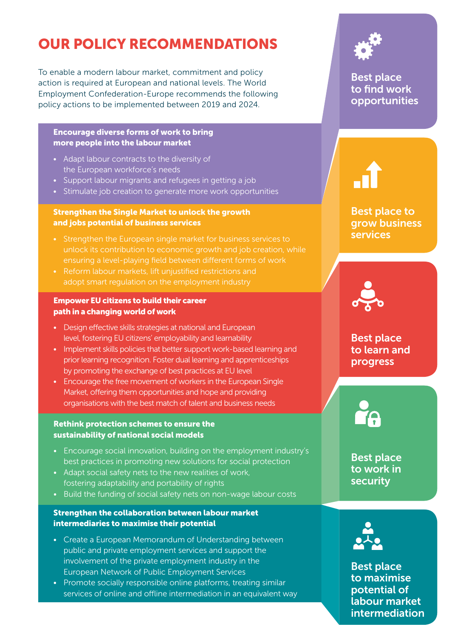## OUR POLICY RECOMMENDATIONS

To enable a modern labour market, commitment and policy action is required at European and national levels. The World Employment Confederation-Europe recommends the following policy actions to be implemented between 2019 and 2024.

#### Encourage diverse forms of work to bring more people into the labour market

- Adapt labour contracts to the diversity of the European workforce's needs
- Support labour migrants and refugees in getting a job
- Stimulate job creation to generate more work opportunities

#### Strengthen the Single Market to unlock the growth and jobs potential of business services

- Strengthen the European single market for business services to unlock its contribution to economic growth and job creation, while ensuring a level-playing field between different forms of work
- Reform labour markets, lift unjustified restrictions and adopt smart regulation on the employment industry

#### Empower EU citizens to build their career path in a changing world of work

- Design effective skills strategies at national and European level, fostering EU citizens' employability and learnability
- Implement skills policies that better support work-based learning and prior learning recognition. Foster dual learning and apprenticeships by promoting the exchange of best practices at EU level
- Encourage the free movement of workers in the European Single Market, offering them opportunities and hope and providing organisations with the best match of talent and business needs

#### Rethink protection schemes to ensure the sustainability of national social models

- Encourage social innovation, building on the employment industry's best practices in promoting new solutions for social protection
- Adapt social safety nets to the new realities of work, fostering adaptability and portability of rights
- Build the funding of social safety nets on non-wage labour costs

#### Strengthen the collaboration between labour market intermediaries to maximise their potential

- Create a European Memorandum of Understanding between public and private employment services and support the involvement of the private employment industry in the European Network of Public Employment Services
- Promote socially responsible online platforms, treating similar services of online and offline intermediation in an equivalent way



Best place to find work opportunities

### Best place to grow business services



Best place to learn and progress

Best place to work in security



**Best place** to maximise potential of labour market intermediation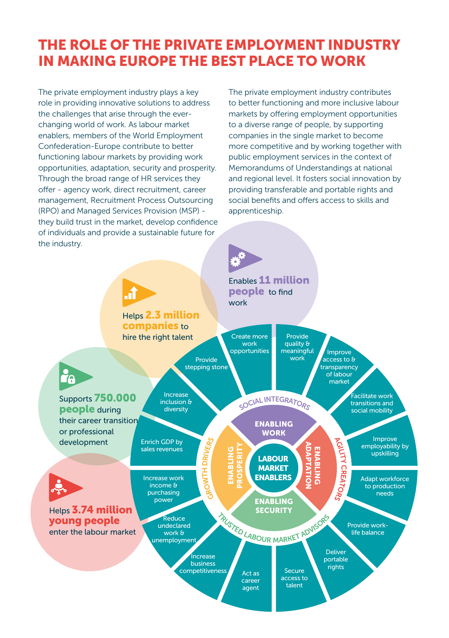### THE ROLE OF THE PRIVATE EMPLOYMENT INDUSTRY IN MAKING EUROPE THE BEST PLACE TO WORK

The private employment industry plays a key role in providing innovative solutions to address the challenges that arise through the everchanging world of work. As labour market enablers, members of the World Employment Confederation-Europe contribute to better functioning labour markets by providing work opportunities, adaptation, security and prosperity. Through the broad range of HR services they offer - agency work, direct recruitment, career management, Recruitment Process Outsourcing (RPO) and Managed Services Provision (MSP) they build trust in the market, develop confidence of individuals and provide a sustainable future for the industry.

The private employment industry contributes to better functioning and more inclusive labour markets by offering employment opportunities to a diverse range of people, by supporting companies in the single market to become more competitive and by working together with public employment services in the context of Memorandums of Understandings at national and regional level. It fosters social innovation by providing transferable and portable rights and social benefits and offers access to skills and apprenticeship.